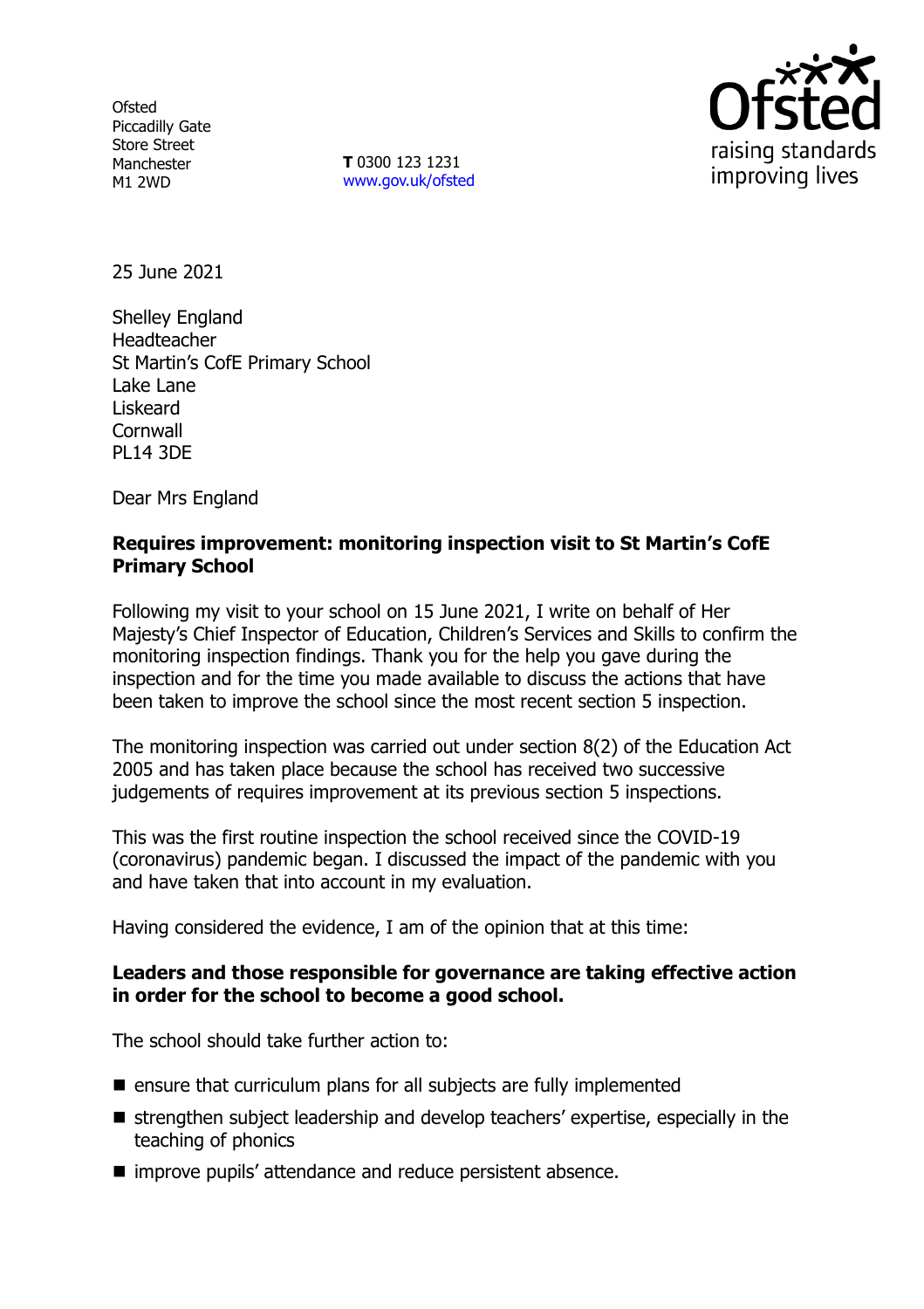**Ofsted** Piccadilly Gate Store Street Manchester M1 2WD

**T** 0300 123 1231 [www.gov.uk/ofsted](http://www.gov.uk/ofsted)



25 June 2021

Shelley England Headteacher St Martin's CofE Primary School Lake Lane Liskeard **Cornwall** PL14 3DE

Dear Mrs England

### **Requires improvement: monitoring inspection visit to St Martin's CofE Primary School**

Following my visit to your school on 15 June 2021, I write on behalf of Her Majesty's Chief Inspector of Education, Children's Services and Skills to confirm the monitoring inspection findings. Thank you for the help you gave during the inspection and for the time you made available to discuss the actions that have been taken to improve the school since the most recent section 5 inspection.

The monitoring inspection was carried out under section 8(2) of the Education Act 2005 and has taken place because the school has received two successive judgements of requires improvement at its previous section 5 inspections.

This was the first routine inspection the school received since the COVID-19 (coronavirus) pandemic began. I discussed the impact of the pandemic with you and have taken that into account in my evaluation.

Having considered the evidence, I am of the opinion that at this time:

### **Leaders and those responsible for governance are taking effective action in order for the school to become a good school.**

The school should take further action to:

- $\blacksquare$  ensure that curriculum plans for all subjects are fully implemented
- strengthen subject leadership and develop teachers' expertise, especially in the teaching of phonics
- improve pupils' attendance and reduce persistent absence.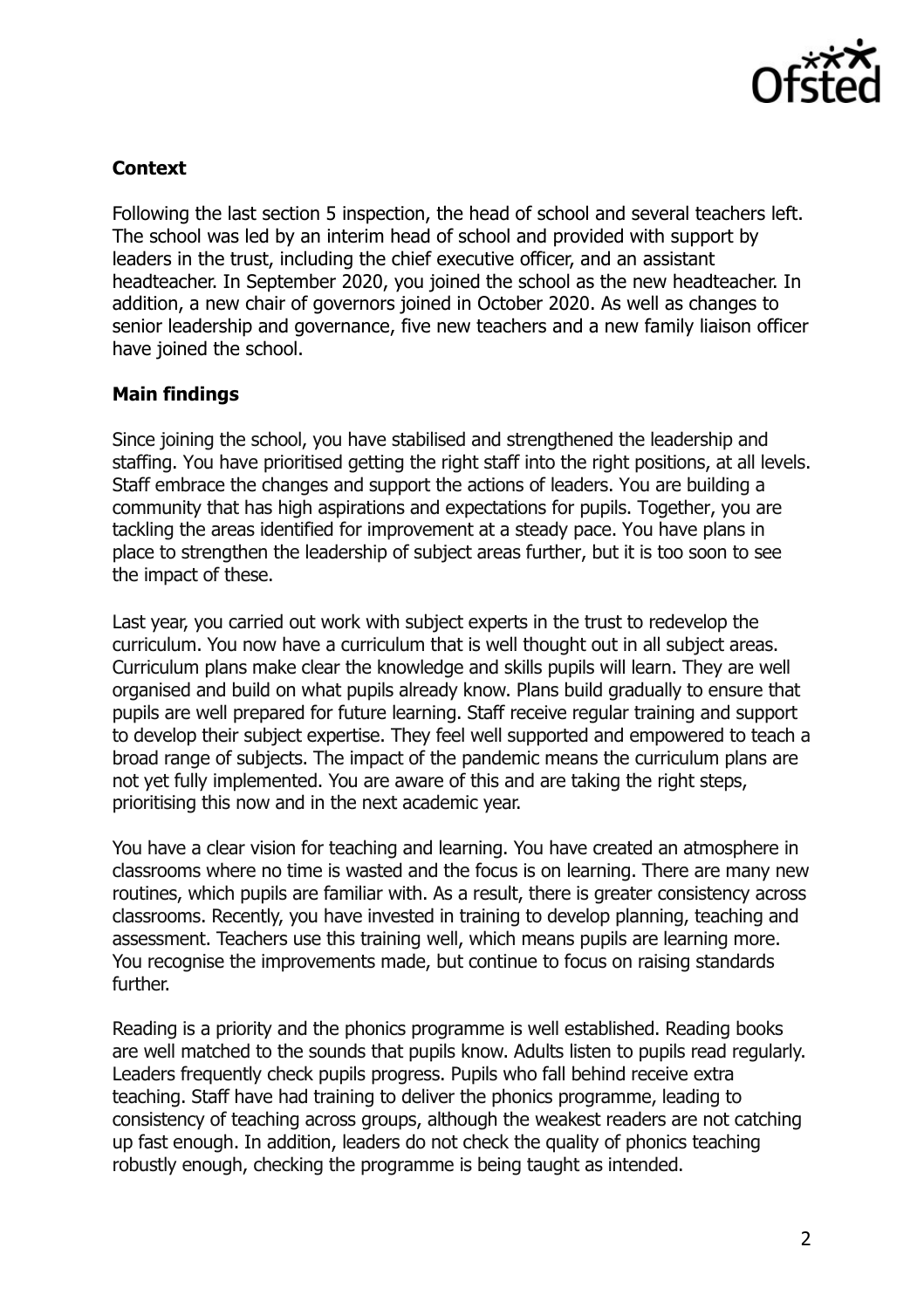

# **Context**

Following the last section 5 inspection, the head of school and several teachers left. The school was led by an interim head of school and provided with support by leaders in the trust, including the chief executive officer, and an assistant headteacher. In September 2020, you joined the school as the new headteacher. In addition, a new chair of governors joined in October 2020. As well as changes to senior leadership and governance, five new teachers and a new family liaison officer have joined the school.

## **Main findings**

Since joining the school, you have stabilised and strengthened the leadership and staffing. You have prioritised getting the right staff into the right positions, at all levels. Staff embrace the changes and support the actions of leaders. You are building a community that has high aspirations and expectations for pupils. Together, you are tackling the areas identified for improvement at a steady pace. You have plans in place to strengthen the leadership of subject areas further, but it is too soon to see the impact of these.

Last year, you carried out work with subject experts in the trust to redevelop the curriculum. You now have a curriculum that is well thought out in all subject areas. Curriculum plans make clear the knowledge and skills pupils will learn. They are well organised and build on what pupils already know. Plans build gradually to ensure that pupils are well prepared for future learning. Staff receive regular training and support to develop their subject expertise. They feel well supported and empowered to teach a broad range of subjects. The impact of the pandemic means the curriculum plans are not yet fully implemented. You are aware of this and are taking the right steps, prioritising this now and in the next academic year.

You have a clear vision for teaching and learning. You have created an atmosphere in classrooms where no time is wasted and the focus is on learning. There are many new routines, which pupils are familiar with. As a result, there is greater consistency across classrooms. Recently, you have invested in training to develop planning, teaching and assessment. Teachers use this training well, which means pupils are learning more. You recognise the improvements made, but continue to focus on raising standards further.

Reading is a priority and the phonics programme is well established. Reading books are well matched to the sounds that pupils know. Adults listen to pupils read regularly. Leaders frequently check pupils progress. Pupils who fall behind receive extra teaching. Staff have had training to deliver the phonics programme, leading to consistency of teaching across groups, although the weakest readers are not catching up fast enough. In addition, leaders do not check the quality of phonics teaching robustly enough, checking the programme is being taught as intended.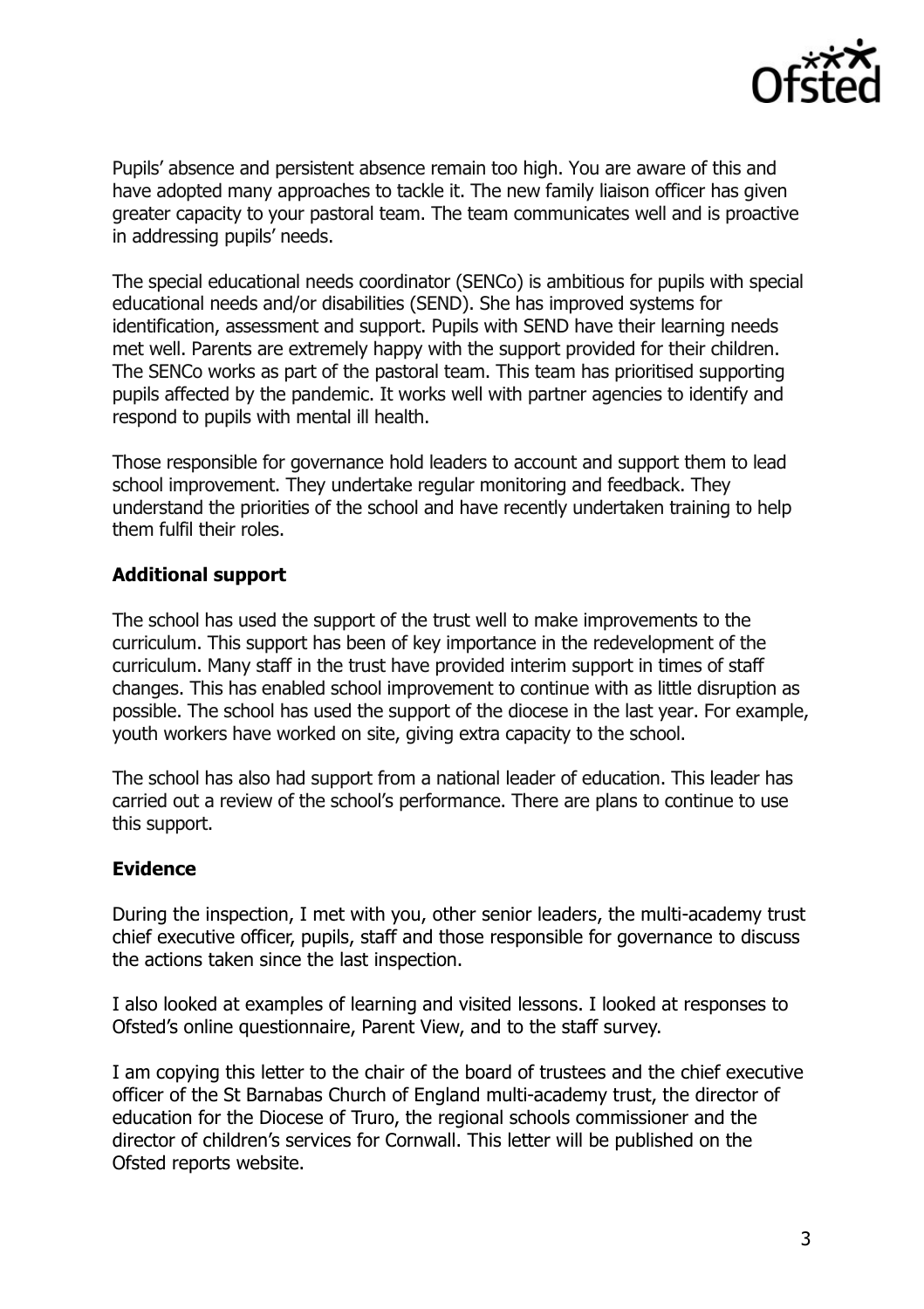

Pupils' absence and persistent absence remain too high. You are aware of this and have adopted many approaches to tackle it. The new family liaison officer has given greater capacity to your pastoral team. The team communicates well and is proactive in addressing pupils' needs.

The special educational needs coordinator (SENCo) is ambitious for pupils with special educational needs and/or disabilities (SEND). She has improved systems for identification, assessment and support. Pupils with SEND have their learning needs met well. Parents are extremely happy with the support provided for their children. The SENCo works as part of the pastoral team. This team has prioritised supporting pupils affected by the pandemic. It works well with partner agencies to identify and respond to pupils with mental ill health.

Those responsible for governance hold leaders to account and support them to lead school improvement. They undertake regular monitoring and feedback. They understand the priorities of the school and have recently undertaken training to help them fulfil their roles.

### **Additional support**

The school has used the support of the trust well to make improvements to the curriculum. This support has been of key importance in the redevelopment of the curriculum. Many staff in the trust have provided interim support in times of staff changes. This has enabled school improvement to continue with as little disruption as possible. The school has used the support of the diocese in the last year. For example, youth workers have worked on site, giving extra capacity to the school.

The school has also had support from a national leader of education. This leader has carried out a review of the school's performance. There are plans to continue to use this support.

### **Evidence**

During the inspection, I met with you, other senior leaders, the multi-academy trust chief executive officer, pupils, staff and those responsible for governance to discuss the actions taken since the last inspection.

I also looked at examples of learning and visited lessons. I looked at responses to Ofsted's online questionnaire, Parent View, and to the staff survey.

I am copying this letter to the chair of the board of trustees and the chief executive officer of the St Barnabas Church of England multi-academy trust, the director of education for the Diocese of Truro, the regional schools commissioner and the director of children's services for Cornwall. This letter will be published on the Ofsted reports website.